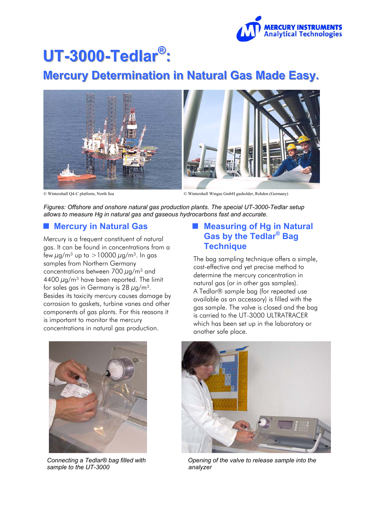

# UT-3000-Tedlar<sup>®</sup>:

# **Mercury Determination in Natural Gas Made Easy.**



© Wintershall Q4-C platform, North Sea © Wintershall Wingas GmbH gasholder, Rehden (Germany)

*Figures: Offshore and onshore natural gas production plants. The special UT-3000-Tedlar setup allows to measure Hg in natural gas and gaseous hydrocarbons fast and accurate.* 

#### **Mercury in Natural Gas**

Mercury is a frequent constituent of natural gas. It can be found in concentrations from a few  $\mu$ g/m<sup>3</sup> up to >10000  $\mu$ g/m<sup>3</sup>. In gas samples from Northern Germany concentrations between 700  $\mu$ g/m<sup>3</sup> and  $4400 \mu$ g/m<sup>3</sup> have been reported. The limit for sales gas in Germany is  $28 \mu g/m^3$ . Besides its toxicity mercury causes damage by corrosion to gaskets, turbine vanes and other components of gas plants. For this reasons it is important to monitor the mercury concentrations in natural gas production.

### ■ Measuring of Hg in Natural **Gas by the Tedlar® Bag Technique**

The bag sampling technique offers a simple, cost-effective and yet precise method to determine the mercury concentration in natural gas (or in other gas samples). A Tedlar® sample bag (for repeated use available as an accessory) is filled with the gas sample. The valve is closed and the bag is carried to the UT-3000 ULTRATRACER which has been set up in the laboratory or another safe place.



*Connecting a Tedlar® bag filled with sample to the UT-3000*



 *Opening of the valve to release sample into the analyzer*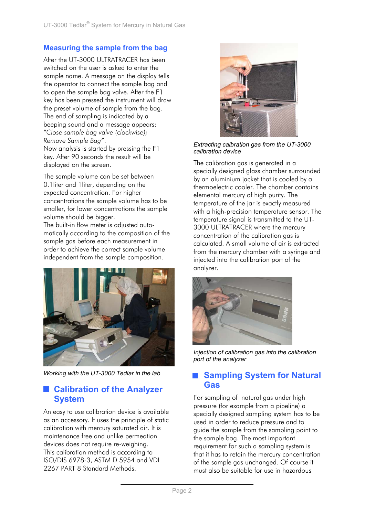#### **Measuring the sample from the bag**

After the UT-3000 ULTRATRACER has been switched on the user is asked to enter the sample name. A message on the display tells the operator to connect the sample bag and to open the sample bag valve. After the F1 key has been pressed the instrument will draw the preset volume of sample from the bag. The end of sampling is indicated by a beeping sound and a message appears: "*Close sample bag valve (clockwise); Remove Sample Bag"*.

Now analysis is started by pressing the F1 key. After 90 seconds the result will be displayed on the screen.

The sample volume can be set between 0.1liter and 1liter, depending on the expected concentration. For higher concentrations the sample volume has to be smaller, for lower concentrations the sample volume should be bigger.

The built-in flow meter is adjusted automatically according to the composition of the sample gas before each measurement in order to achieve the correct sample volume independent from the sample composition.



*Working with the UT-3000 Tedlar in the lab* 

# **Calibration of the Analyzer System**

An easy to use calibration device is available as an accessory. It uses the principle of static calibration with mercury saturated air. It is maintenance free and unlike permeation devices does not require re-weighing. This calibration method is according to ISO/DIS 6978-3, ASTM D 5954 and VDI 2267 PART 8 Standard Methods.



*Extracting calbration gas from the UT-3000 calibration device*

The calibration gas is generated in a specially designed glass chamber surrounded by an aluminium jacket that is cooled by a thermoelectric cooler. The chamber contains elemental mercury of high purity. The temperature of the jar is exactly measured with a high-precision temperature sensor. The temperature signal is transmitted to the UT-3000 ULTRATRACER where the mercury concentration of the calibration gas is calculated. A small volume of air is extracted from the mercury chamber with a syringe and injected into the calibration port of the analyzer.



*Injection of calibration gas into the calibration port of the analyzer* 

# **Sampling System for Natural Gas**

For sampling of natural gas under high pressure (for example from a pipeline) a specially designed sampling system has to be used in order to reduce pressure and to guide the sample from the sampling point to the sample bag. The most important requirement for such a sampling system is that it has to retain the mercury concentration of the sample gas unchanged. Of course it must also be suitable for use in hazardous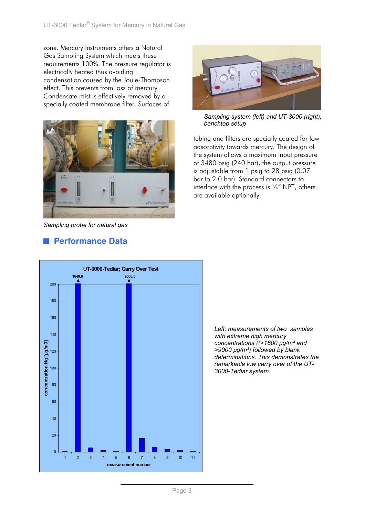zone. Mercury Instruments offers a Natural Gas Sampling System which meets these requirements 100%. The pressure regulator is electrically heated thus avoiding condensation caused by the Joule-Thompson effect. This prevents from loss of mercury. Condensate mist is effectively removed by a specially coated membrane filter. Surfaces of



*Sampling probe for natural gas* 

# **Performance Data**



*Sampling system (left) and UT-3000 (right), benchtop setup*

tubing and filters are specially coated for low adsorptivity towards mercury. The design of the system allows a maximum input pressure of 3480 psig (240 bar), the output pressure is adjustable from 1 psig to 28 psig (0.07 bar to 2.0 bar). Standard connectors to interface with the process is  $\frac{1}{4}$  NPT, others are available optionally.



*Left: measurements of two samples with extreme high mercury concentrations ((>1600 µg/m³ and >9000 µg/m³) followed by blank determinations. This demonstrates the remarkable low carry over of the UT-3000-Tedlar system.*